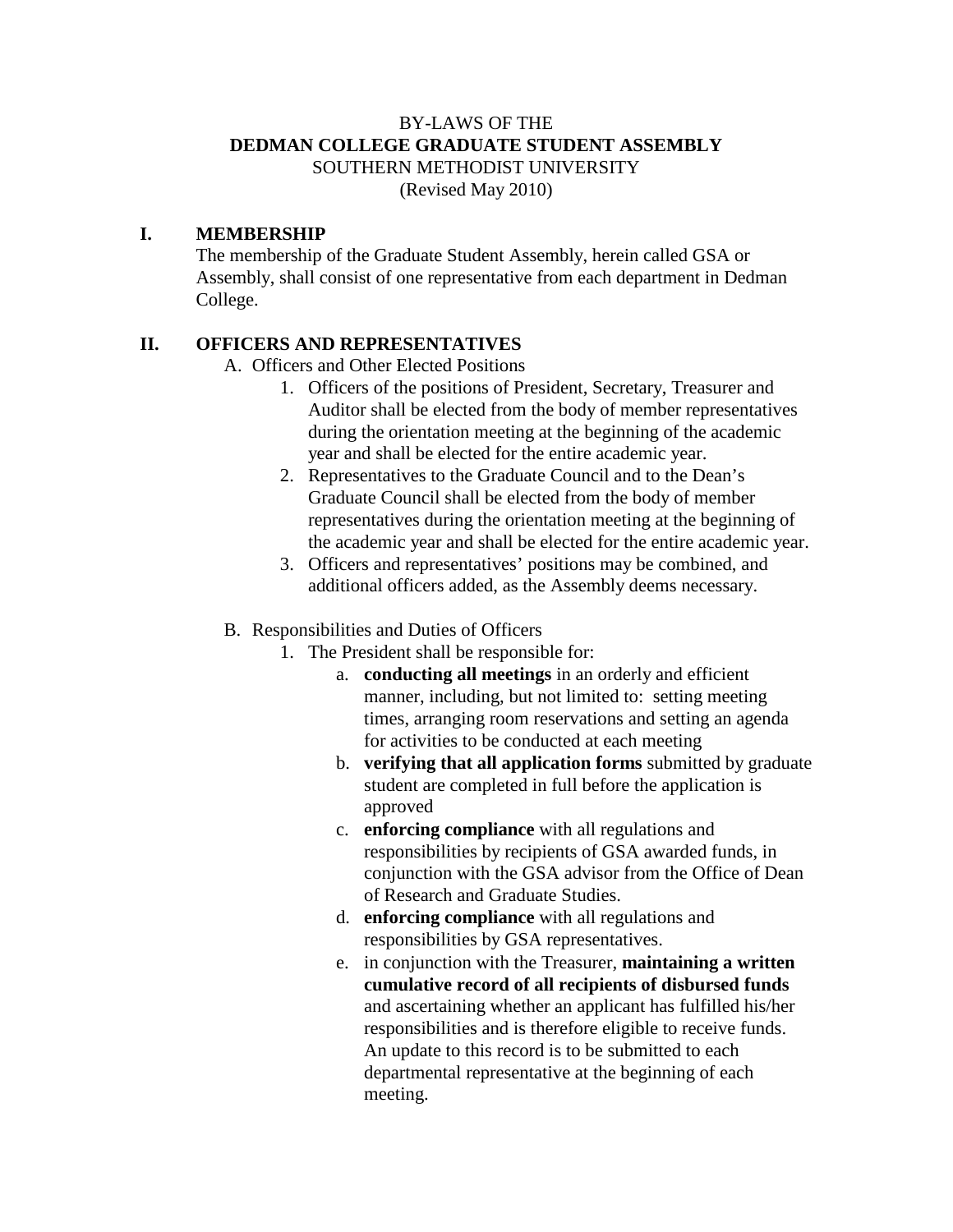## BY-LAWS OF THE **DEDMAN COLLEGE GRADUATE STUDENT ASSEMBLY** SOUTHERN METHODIST UNIVERSITY (Revised May 2010)

### **I. MEMBERSHIP**

The membership of the Graduate Student Assembly, herein called GSA or Assembly, shall consist of one representative from each department in Dedman College.

### **II. OFFICERS AND REPRESENTATIVES**

A. Officers and Other Elected Positions

- 1. Officers of the positions of President, Secretary, Treasurer and Auditor shall be elected from the body of member representatives during the orientation meeting at the beginning of the academic year and shall be elected for the entire academic year.
- 2. Representatives to the Graduate Council and to the Dean's Graduate Council shall be elected from the body of member representatives during the orientation meeting at the beginning of the academic year and shall be elected for the entire academic year.
- 3. Officers and representatives' positions may be combined, and additional officers added, as the Assembly deems necessary.

### B. Responsibilities and Duties of Officers

- 1. The President shall be responsible for:
	- a. **conducting all meetings** in an orderly and efficient manner, including, but not limited to: setting meeting times, arranging room reservations and setting an agenda for activities to be conducted at each meeting
	- b. **verifying that all application forms** submitted by graduate student are completed in full before the application is approved
	- c. **enforcing compliance** with all regulations and responsibilities by recipients of GSA awarded funds, in conjunction with the GSA advisor from the Office of Dean of Research and Graduate Studies.
	- d. **enforcing compliance** with all regulations and responsibilities by GSA representatives.
	- e. in conjunction with the Treasurer, **maintaining a written cumulative record of all recipients of disbursed funds** and ascertaining whether an applicant has fulfilled his/her responsibilities and is therefore eligible to receive funds. An update to this record is to be submitted to each departmental representative at the beginning of each meeting.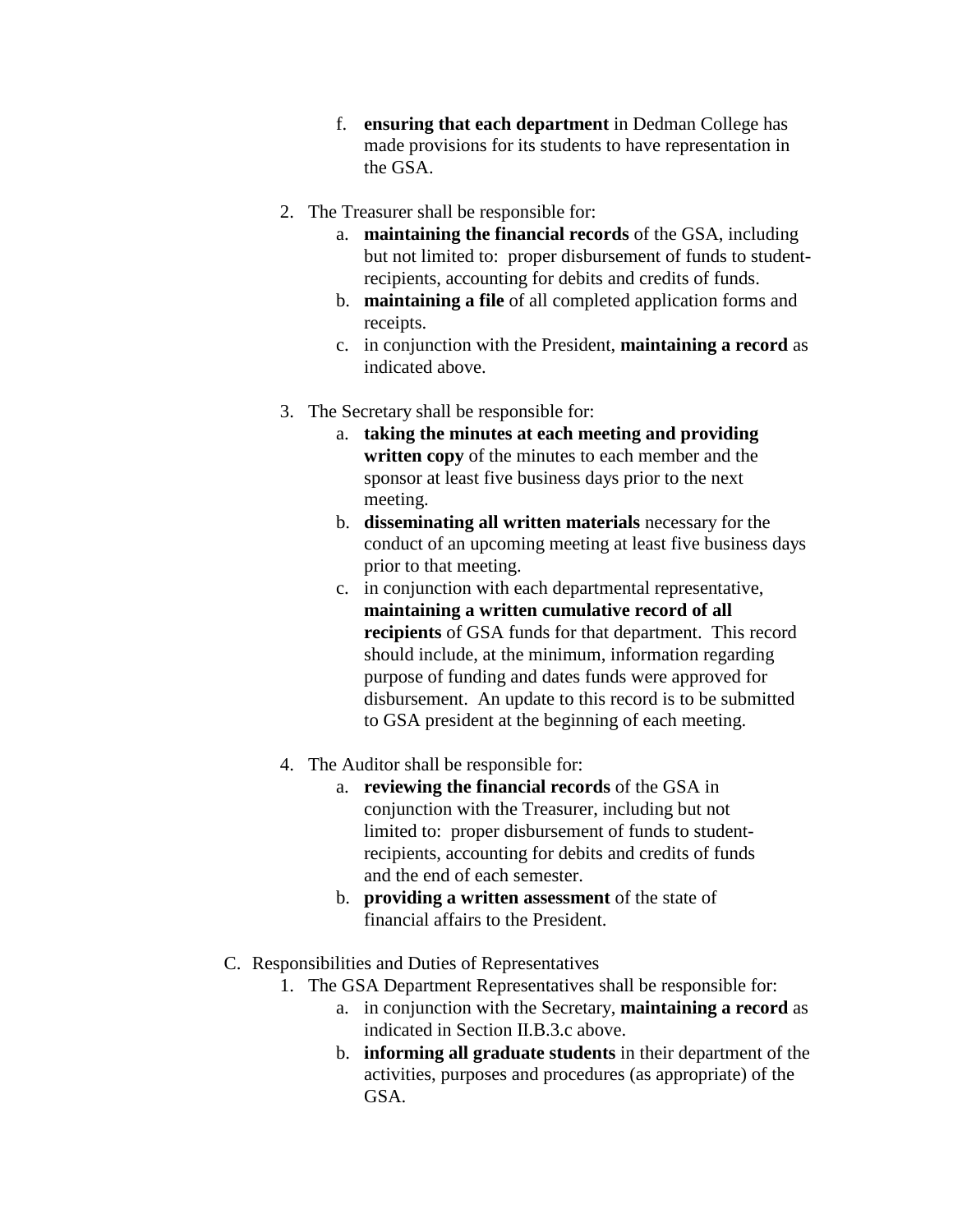- f. **ensuring that each department** in Dedman College has made provisions for its students to have representation in the GSA.
- 2. The Treasurer shall be responsible for:
	- a. **maintaining the financial records** of the GSA, including but not limited to: proper disbursement of funds to studentrecipients, accounting for debits and credits of funds.
	- b. **maintaining a file** of all completed application forms and receipts.
	- c. in conjunction with the President, **maintaining a record** as indicated above.
- 3. The Secretary shall be responsible for:
	- a. **taking the minutes at each meeting and providing written copy** of the minutes to each member and the sponsor at least five business days prior to the next meeting.
	- b. **disseminating all written materials** necessary for the conduct of an upcoming meeting at least five business days prior to that meeting.
	- c. in conjunction with each departmental representative, **maintaining a written cumulative record of all recipients** of GSA funds for that department. This record should include, at the minimum, information regarding purpose of funding and dates funds were approved for disbursement. An update to this record is to be submitted to GSA president at the beginning of each meeting.
- 4. The Auditor shall be responsible for:
	- a. **reviewing the financial records** of the GSA in conjunction with the Treasurer, including but not limited to: proper disbursement of funds to studentrecipients, accounting for debits and credits of funds and the end of each semester.
	- b. **providing a written assessment** of the state of financial affairs to the President.
- C. Responsibilities and Duties of Representatives
	- 1. The GSA Department Representatives shall be responsible for:
		- a. in conjunction with the Secretary, **maintaining a record** as indicated in Section II.B.3.c above.
		- b. **informing all graduate students** in their department of the activities, purposes and procedures (as appropriate) of the GSA.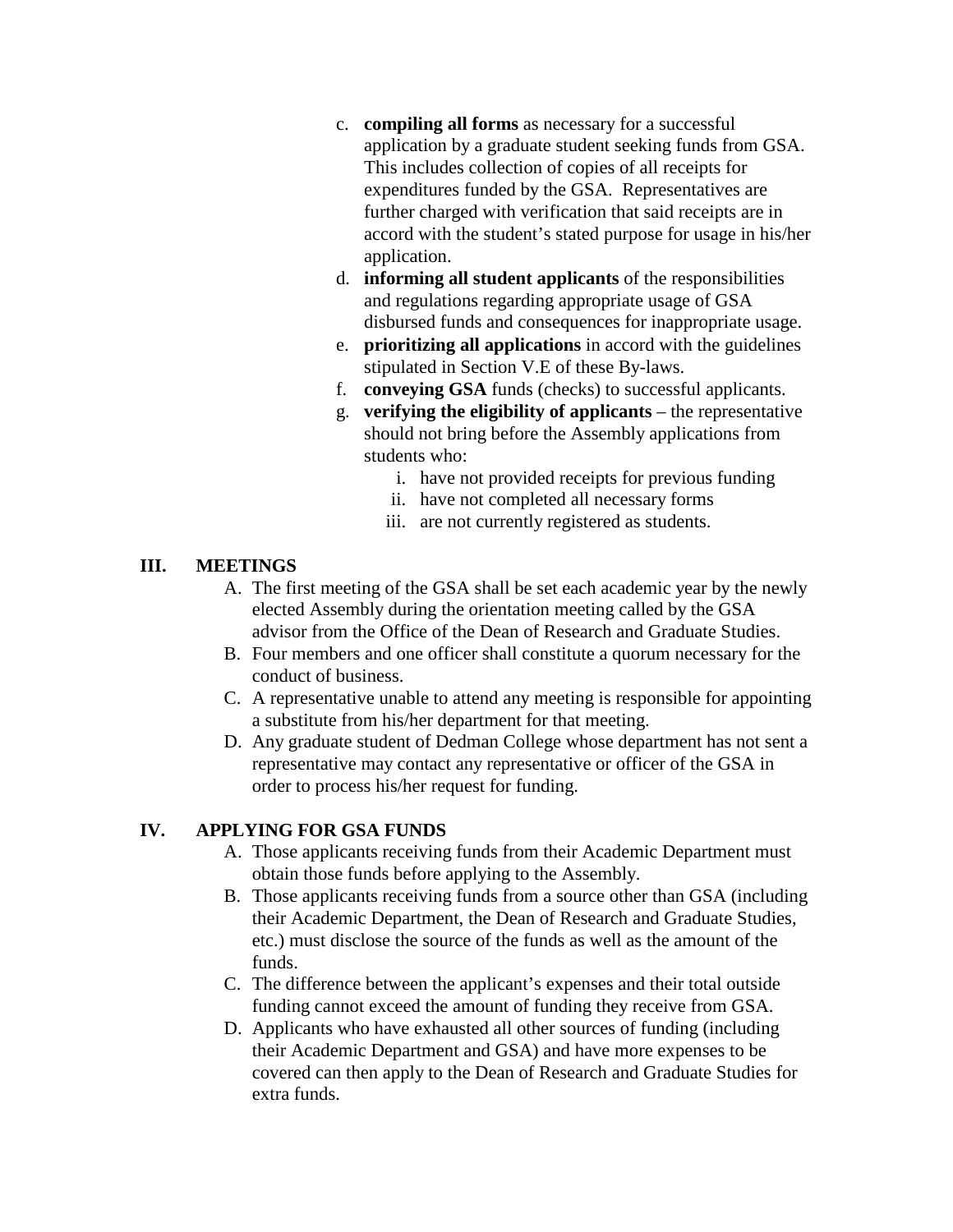- c. **compiling all forms** as necessary for a successful application by a graduate student seeking funds from GSA. This includes collection of copies of all receipts for expenditures funded by the GSA. Representatives are further charged with verification that said receipts are in accord with the student's stated purpose for usage in his/her application.
- d. **informing all student applicants** of the responsibilities and regulations regarding appropriate usage of GSA disbursed funds and consequences for inappropriate usage.
- e. **prioritizing all applications** in accord with the guidelines stipulated in Section V.E of these By-laws.
- f. **conveying GSA** funds (checks) to successful applicants.
- g. **verifying the eligibility of applicants** the representative should not bring before the Assembly applications from students who:
	- i. have not provided receipts for previous funding
	- ii. have not completed all necessary forms
	- iii. are not currently registered as students.

# **III. MEETINGS**

- A. The first meeting of the GSA shall be set each academic year by the newly elected Assembly during the orientation meeting called by the GSA advisor from the Office of the Dean of Research and Graduate Studies.
- B. Four members and one officer shall constitute a quorum necessary for the conduct of business.
- C. A representative unable to attend any meeting is responsible for appointing a substitute from his/her department for that meeting.
- D. Any graduate student of Dedman College whose department has not sent a representative may contact any representative or officer of the GSA in order to process his/her request for funding.

### **IV. APPLYING FOR GSA FUNDS**

- A. Those applicants receiving funds from their Academic Department must obtain those funds before applying to the Assembly.
- B. Those applicants receiving funds from a source other than GSA (including their Academic Department, the Dean of Research and Graduate Studies, etc.) must disclose the source of the funds as well as the amount of the funds.
- C. The difference between the applicant's expenses and their total outside funding cannot exceed the amount of funding they receive from GSA.
- D. Applicants who have exhausted all other sources of funding (including their Academic Department and GSA) and have more expenses to be covered can then apply to the Dean of Research and Graduate Studies for extra funds.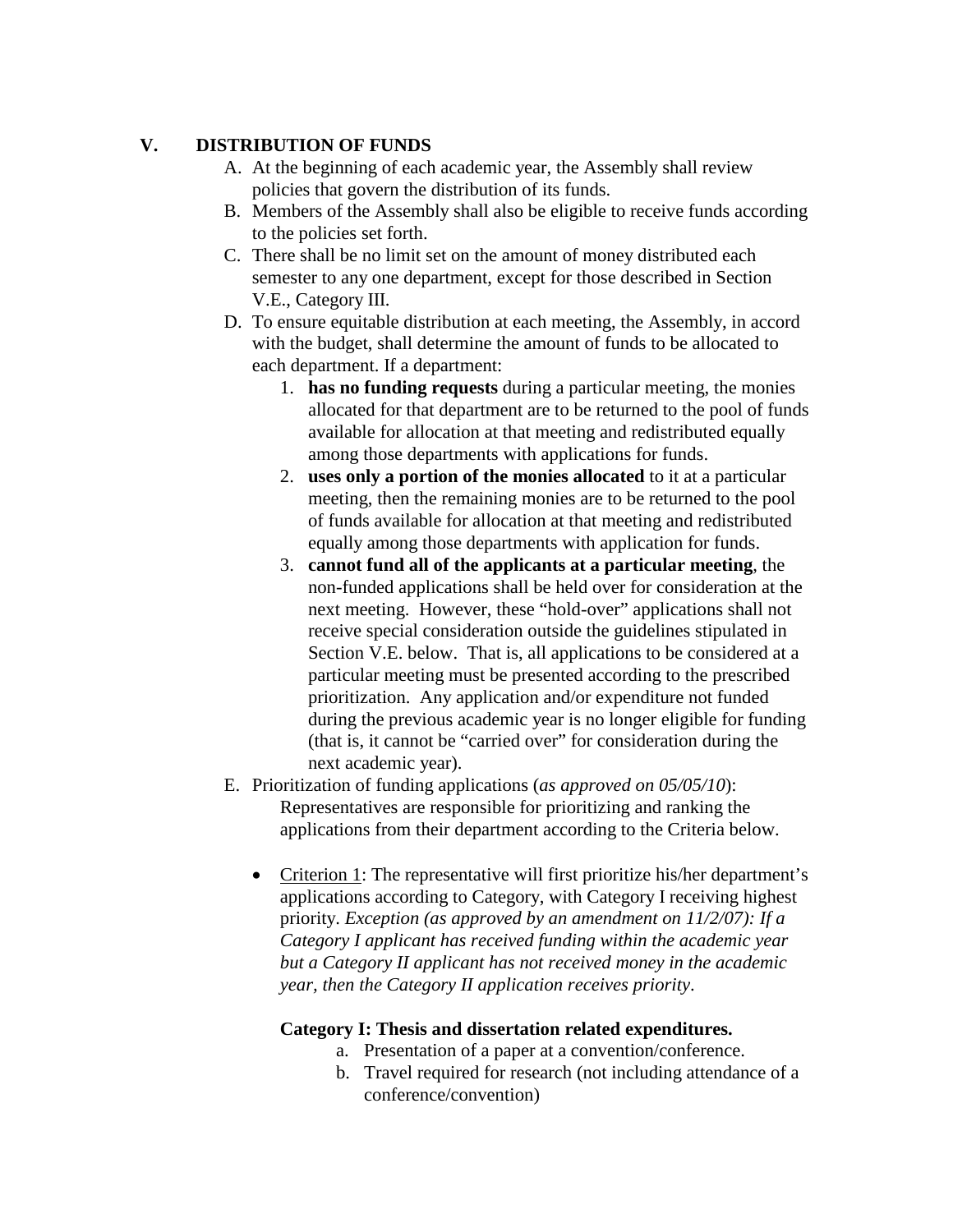# **V. DISTRIBUTION OF FUNDS**

- A. At the beginning of each academic year, the Assembly shall review policies that govern the distribution of its funds.
- B. Members of the Assembly shall also be eligible to receive funds according to the policies set forth.
- C. There shall be no limit set on the amount of money distributed each semester to any one department, except for those described in Section V.E., Category III.
- D. To ensure equitable distribution at each meeting, the Assembly, in accord with the budget, shall determine the amount of funds to be allocated to each department. If a department:
	- 1. **has no funding requests** during a particular meeting, the monies allocated for that department are to be returned to the pool of funds available for allocation at that meeting and redistributed equally among those departments with applications for funds.
	- 2. **uses only a portion of the monies allocated** to it at a particular meeting, then the remaining monies are to be returned to the pool of funds available for allocation at that meeting and redistributed equally among those departments with application for funds.
	- 3. **cannot fund all of the applicants at a particular meeting**, the non-funded applications shall be held over for consideration at the next meeting. However, these "hold-over" applications shall not receive special consideration outside the guidelines stipulated in Section V.E. below. That is, all applications to be considered at a particular meeting must be presented according to the prescribed prioritization. Any application and/or expenditure not funded during the previous academic year is no longer eligible for funding (that is, it cannot be "carried over" for consideration during the next academic year).
- E. Prioritization of funding applications (*as approved on 05/05/10*): Representatives are responsible for prioritizing and ranking the applications from their department according to the Criteria below.
	- Criterion 1: The representative will first prioritize his/her department's applications according to Category, with Category I receiving highest priority. *Exception (as approved by an amendment on 11/2/07): If a Category I applicant has received funding within the academic year but a Category II applicant has not received money in the academic year, then the Category II application receives priority*.

### **Category I: Thesis and dissertation related expenditures.**

- a. Presentation of a paper at a convention/conference.
- b. Travel required for research (not including attendance of a conference/convention)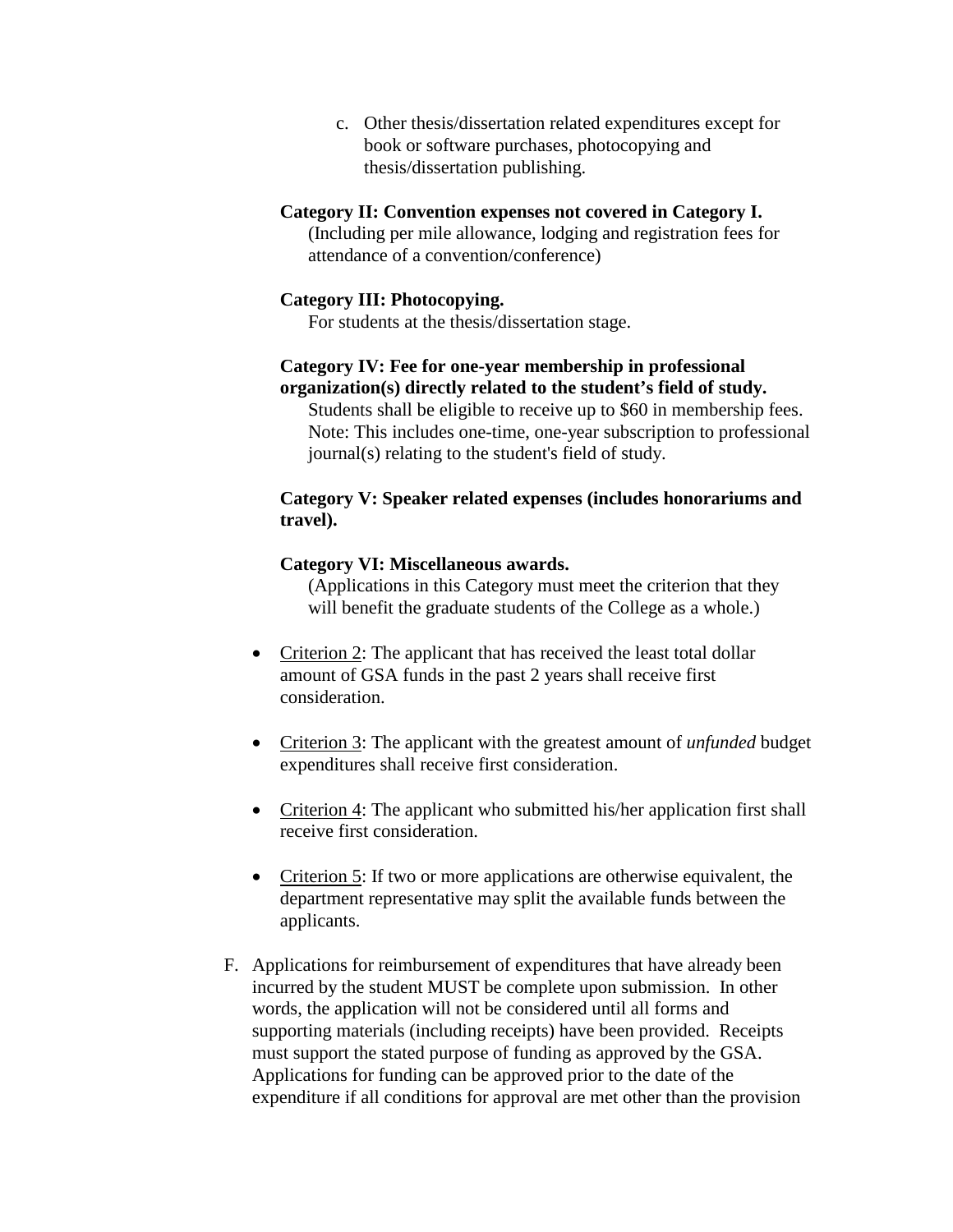c. Other thesis/dissertation related expenditures except for book or software purchases, photocopying and thesis/dissertation publishing.

#### **Category II: Convention expenses not covered in Category I.**

(Including per mile allowance, lodging and registration fees for attendance of a convention/conference)

#### **Category III: Photocopying.**

For students at the thesis/dissertation stage.

#### **Category IV: Fee for one-year membership in professional organization(s) directly related to the student's field of study.**

Students shall be eligible to receive up to \$60 in membership fees. Note: This includes one-time, one-year subscription to professional journal(s) relating to the student's field of study.

#### **Category V: Speaker related expenses (includes honorariums and travel).**

#### **Category VI: Miscellaneous awards.**

(Applications in this Category must meet the criterion that they will benefit the graduate students of the College as a whole.)

- Criterion 2: The applicant that has received the least total dollar amount of GSA funds in the past 2 years shall receive first consideration.
- Criterion 3: The applicant with the greatest amount of *unfunded* budget expenditures shall receive first consideration.
- Criterion 4: The applicant who submitted his/her application first shall receive first consideration.
- Criterion 5: If two or more applications are otherwise equivalent, the department representative may split the available funds between the applicants.
- F. Applications for reimbursement of expenditures that have already been incurred by the student MUST be complete upon submission. In other words, the application will not be considered until all forms and supporting materials (including receipts) have been provided. Receipts must support the stated purpose of funding as approved by the GSA. Applications for funding can be approved prior to the date of the expenditure if all conditions for approval are met other than the provision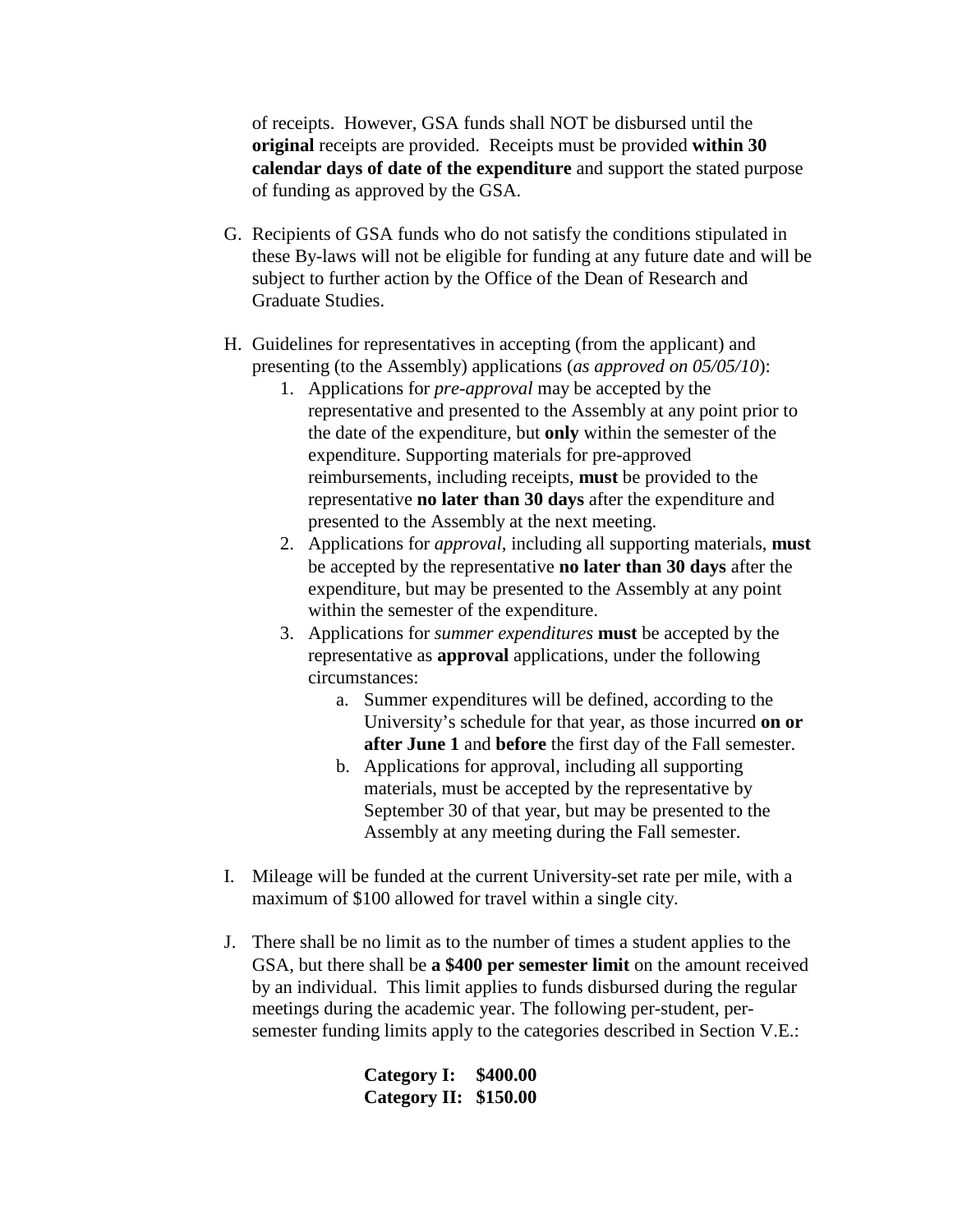of receipts. However, GSA funds shall NOT be disbursed until the **original** receipts are provided. Receipts must be provided **within 30 calendar days of date of the expenditure** and support the stated purpose of funding as approved by the GSA.

- G. Recipients of GSA funds who do not satisfy the conditions stipulated in these By-laws will not be eligible for funding at any future date and will be subject to further action by the Office of the Dean of Research and Graduate Studies.
- H. Guidelines for representatives in accepting (from the applicant) and presenting (to the Assembly) applications (*as approved on 05/05/10*):
	- 1. Applications for *pre-approval* may be accepted by the representative and presented to the Assembly at any point prior to the date of the expenditure, but **only** within the semester of the expenditure. Supporting materials for pre-approved reimbursements, including receipts, **must** be provided to the representative **no later than 30 days** after the expenditure and presented to the Assembly at the next meeting.
	- 2. Applications for *approval*, including all supporting materials, **must** be accepted by the representative **no later than 30 days** after the expenditure, but may be presented to the Assembly at any point within the semester of the expenditure.
	- 3. Applications for *summer expenditures* **must** be accepted by the representative as **approval** applications, under the following circumstances:
		- a. Summer expenditures will be defined, according to the University's schedule for that year, as those incurred **on or after June 1** and **before** the first day of the Fall semester.
		- b. Applications for approval, including all supporting materials, must be accepted by the representative by September 30 of that year, but may be presented to the Assembly at any meeting during the Fall semester.
- I. Mileage will be funded at the current University-set rate per mile, with a maximum of \$100 allowed for travel within a single city.
- J. There shall be no limit as to the number of times a student applies to the GSA, but there shall be **a \$400 per semester limit** on the amount received by an individual. This limit applies to funds disbursed during the regular meetings during the academic year. The following per-student, persemester funding limits apply to the categories described in Section V.E.:

**Category I: \$400.00 Category II: \$150.00**